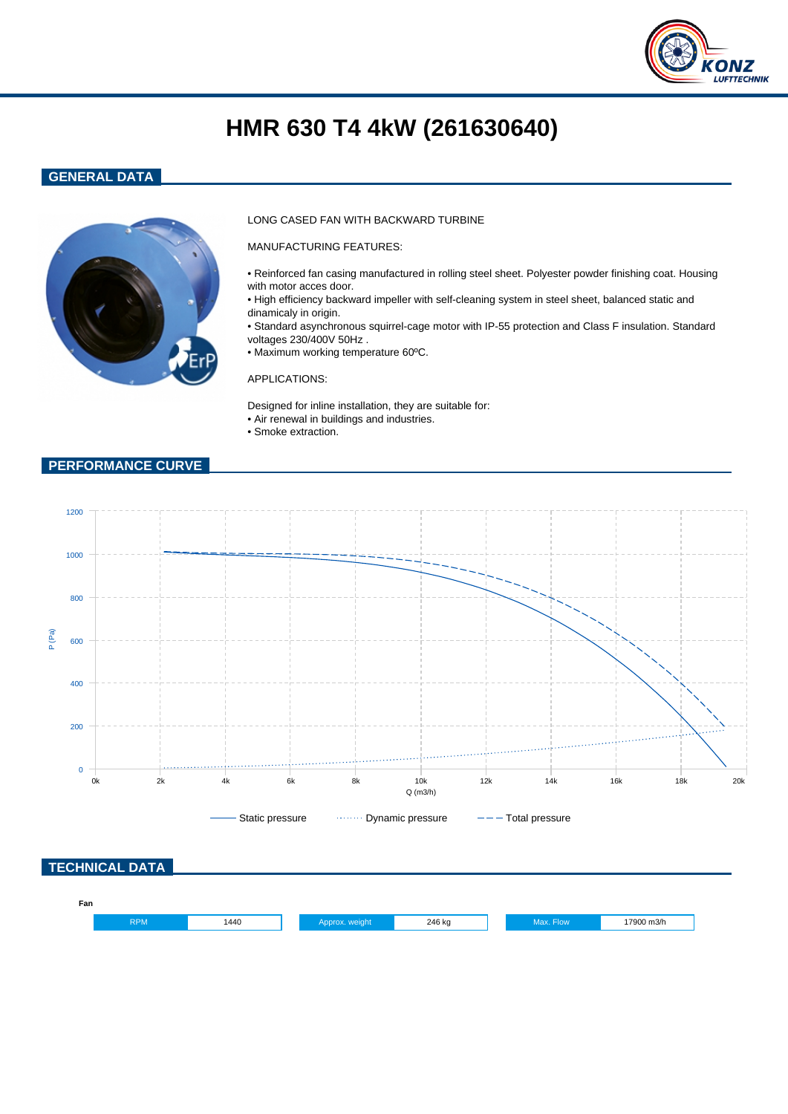

# **HMR 630 T4 4kW (261630640)**

## **GENERAL DATA**



### LONG CASED FAN WITH BACKWARD TURBINE

MANUFACTURING FEATURES:

- Reinforced fan casing manufactured in rolling steel sheet. Polyester powder finishing coat. Housing with motor acces door.
- High efficiency backward impeller with self-cleaning system in steel sheet, balanced static and dinamicaly in origin.
- Standard asynchronous squirrel-cage motor with IP-55 protection and Class F insulation. Standard voltages 230/400V 50Hz .
- Maximum working temperature 60ºC.

#### APPLICATIONS:

Designed for inline installation, they are suitable for: • Air renewal in buildings and industries.

• Smoke extraction.

## **PERFORMANCE CURVE**

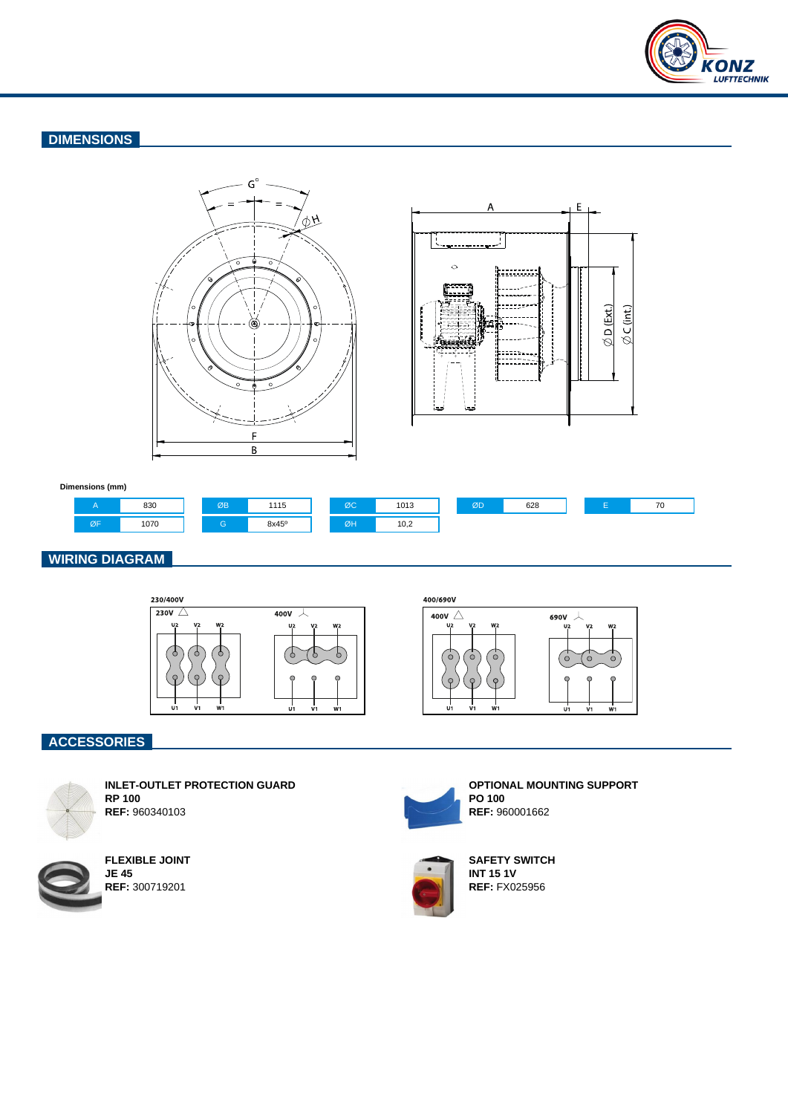

# **DIMENSIONS**





#### **Dimensions (mm)**



## **WIRING DIAGRAM**



400/690V



# **ACCESSORIES**



**INLET-OUTLET PROTECTION GUARD RP 100 REF:** 960340103



**FLEXIBLE JOINT JE 45 REF:** 300719201



**OPTIONAL MOUNTING SUPPORT PO 100 REF:** 960001662



**SAFETY SWITCH INT 15 1V REF:** FX025956